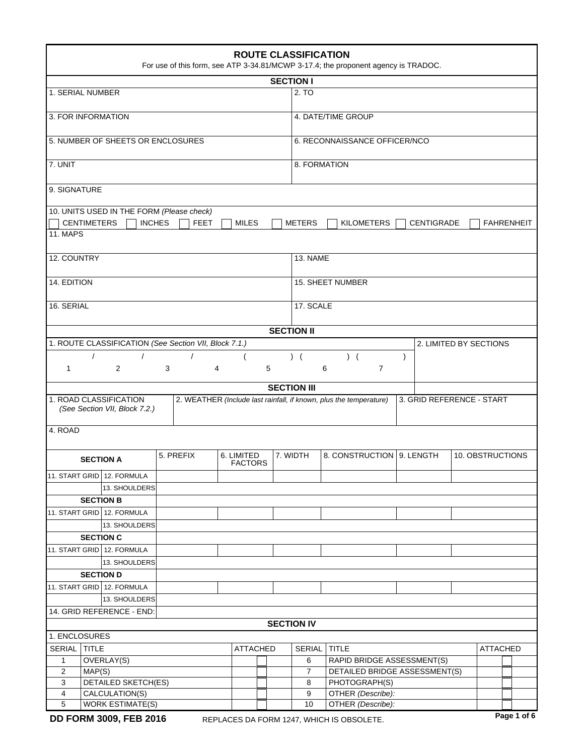| <b>ROUTE CLASSIFICATION</b><br>For use of this form, see ATP 3-34.81/MCWP 3-17.4; the proponent agency is TRADOC. |                                                         |                                                       |   |                    |  |   |                            |                                                                    |                           |                        |                   |  |  |
|-------------------------------------------------------------------------------------------------------------------|---------------------------------------------------------|-------------------------------------------------------|---|--------------------|--|---|----------------------------|--------------------------------------------------------------------|---------------------------|------------------------|-------------------|--|--|
| <b>SECTION I</b>                                                                                                  |                                                         |                                                       |   |                    |  |   |                            |                                                                    |                           |                        |                   |  |  |
| 1. SERIAL NUMBER                                                                                                  |                                                         |                                                       |   | 2. TO              |  |   |                            |                                                                    |                           |                        |                   |  |  |
| 3. FOR INFORMATION                                                                                                |                                                         |                                                       |   | 4. DATE/TIME GROUP |  |   |                            |                                                                    |                           |                        |                   |  |  |
|                                                                                                                   | 5. NUMBER OF SHEETS OR ENCLOSURES                       |                                                       |   |                    |  |   |                            | 6. RECONNAISSANCE OFFICER/NCO                                      |                           |                        |                   |  |  |
|                                                                                                                   |                                                         |                                                       |   |                    |  |   |                            |                                                                    |                           |                        |                   |  |  |
| 7. UNIT                                                                                                           |                                                         |                                                       |   |                    |  |   | 8. FORMATION               |                                                                    |                           |                        |                   |  |  |
| 9. SIGNATURE                                                                                                      |                                                         |                                                       |   |                    |  |   |                            |                                                                    |                           |                        |                   |  |  |
|                                                                                                                   |                                                         | 10. UNITS USED IN THE FORM (Please check)             |   |                    |  |   |                            |                                                                    |                           |                        |                   |  |  |
| <b>CENTIMETERS</b>                                                                                                |                                                         | <b>INCHES</b><br><b>FEET</b>                          |   | <b>MILES</b>       |  |   | <b>METERS</b>              | KILOMETERS                                                         | <b>CENTIGRADE</b>         |                        | <b>FAHRENHEIT</b> |  |  |
| <b>11. MAPS</b>                                                                                                   |                                                         |                                                       |   |                    |  |   |                            |                                                                    |                           |                        |                   |  |  |
| 12. COUNTRY                                                                                                       |                                                         |                                                       |   |                    |  |   | 13. NAME                   |                                                                    |                           |                        |                   |  |  |
| 14. EDITION                                                                                                       |                                                         |                                                       |   |                    |  |   | <b>15. SHEET NUMBER</b>    |                                                                    |                           |                        |                   |  |  |
| 16. SERIAL                                                                                                        |                                                         |                                                       |   |                    |  |   | 17. SCALE                  |                                                                    |                           |                        |                   |  |  |
|                                                                                                                   |                                                         |                                                       |   |                    |  |   |                            |                                                                    |                           |                        |                   |  |  |
|                                                                                                                   |                                                         |                                                       |   |                    |  |   | <b>SECTION II</b>          |                                                                    |                           |                        |                   |  |  |
|                                                                                                                   |                                                         | 1. ROUTE CLASSIFICATION (See Section VII, Block 7.1.) |   |                    |  |   |                            |                                                                    |                           | 2. LIMITED BY SECTIONS |                   |  |  |
| $\prime$                                                                                                          |                                                         | $\prime$                                              |   | (                  |  |   | $)$ (                      | $)$ (                                                              | $\lambda$                 |                        |                   |  |  |
| 1                                                                                                                 | 2                                                       | 3                                                     | 4 |                    |  | 5 |                            | $\overline{7}$<br>6                                                |                           |                        |                   |  |  |
|                                                                                                                   |                                                         |                                                       |   |                    |  |   | <b>SECTION III</b>         |                                                                    |                           |                        |                   |  |  |
|                                                                                                                   | 1. ROAD CLASSIFICATION<br>(See Section VII, Block 7.2.) |                                                       |   |                    |  |   |                            | 2. WEATHER (Include last rainfall, if known, plus the temperature) | 3. GRID REFERENCE - START |                        |                   |  |  |
| 4. ROAD                                                                                                           |                                                         |                                                       |   |                    |  |   |                            |                                                                    |                           |                        |                   |  |  |
|                                                                                                                   | <b>SECTION A</b>                                        | 5. PREFIX                                             |   | 6. LIMITED         |  |   | 7. WIDTH                   | 8. CONSTRUCTION   9. LENGTH                                        |                           |                        | 10. OBSTRUCTIONS  |  |  |
|                                                                                                                   | 11. START GRID 12. FORMULA                              |                                                       |   | <b>FACTORS</b>     |  |   |                            |                                                                    |                           |                        |                   |  |  |
|                                                                                                                   | 13. SHOULDERS                                           |                                                       |   |                    |  |   |                            |                                                                    |                           |                        |                   |  |  |
|                                                                                                                   | <b>SECTION B</b>                                        |                                                       |   |                    |  |   |                            |                                                                    |                           |                        |                   |  |  |
|                                                                                                                   | 11. START GRID 12. FORMULA                              |                                                       |   |                    |  |   |                            |                                                                    |                           |                        |                   |  |  |
|                                                                                                                   | 13. SHOULDERS                                           |                                                       |   |                    |  |   |                            |                                                                    |                           |                        |                   |  |  |
|                                                                                                                   | <b>SECTION C</b>                                        |                                                       |   |                    |  |   |                            |                                                                    |                           |                        |                   |  |  |
|                                                                                                                   | 11. START GRID 12. FORMULA                              |                                                       |   |                    |  |   |                            |                                                                    |                           |                        |                   |  |  |
|                                                                                                                   | 13. SHOULDERS                                           |                                                       |   |                    |  |   |                            |                                                                    |                           |                        |                   |  |  |
|                                                                                                                   | <b>SECTION D</b>                                        |                                                       |   |                    |  |   |                            |                                                                    |                           |                        |                   |  |  |
|                                                                                                                   | 11. START GRID 12. FORMULA                              |                                                       |   |                    |  |   |                            |                                                                    |                           |                        |                   |  |  |
|                                                                                                                   |                                                         |                                                       |   |                    |  |   |                            |                                                                    |                           |                        |                   |  |  |
| 13. SHOULDERS                                                                                                     |                                                         |                                                       |   |                    |  |   |                            |                                                                    |                           |                        |                   |  |  |
| 14. GRID REFERENCE - END:<br><b>SECTION IV</b>                                                                    |                                                         |                                                       |   |                    |  |   |                            |                                                                    |                           |                        |                   |  |  |
| 1. ENCLOSURES                                                                                                     |                                                         |                                                       |   |                    |  |   |                            |                                                                    |                           |                        |                   |  |  |
| SERIAL<br><b>TITLE</b><br><b>TITLE</b><br><b>ATTACHED</b><br>SERIAL<br><b>ATTACHED</b>                            |                                                         |                                                       |   |                    |  |   |                            |                                                                    |                           |                        |                   |  |  |
| OVERLAY(S)<br>$\mathbf{1}$                                                                                        |                                                         |                                                       |   |                    |  | 6 | RAPID BRIDGE ASSESSMENT(S) |                                                                    |                           |                        |                   |  |  |
| $\overline{2}$                                                                                                    | MAP(S)                                                  |                                                       |   |                    |  |   | $\overline{7}$             | DETAILED BRIDGE ASSESSMENT(S)                                      |                           |                        |                   |  |  |
| 3                                                                                                                 | <b>DETAILED SKETCH(ES)</b>                              |                                                       |   |                    |  |   | 8                          | PHOTOGRAPH(S)                                                      |                           |                        |                   |  |  |
| 4                                                                                                                 | CALCULATION(S)                                          |                                                       |   |                    |  |   | 9                          | OTHER (Describe):                                                  |                           |                        |                   |  |  |
| 5                                                                                                                 | <b>WORK ESTIMATE(S)</b>                                 |                                                       |   |                    |  |   | 10                         | OTHER (Describe):                                                  |                           |                        |                   |  |  |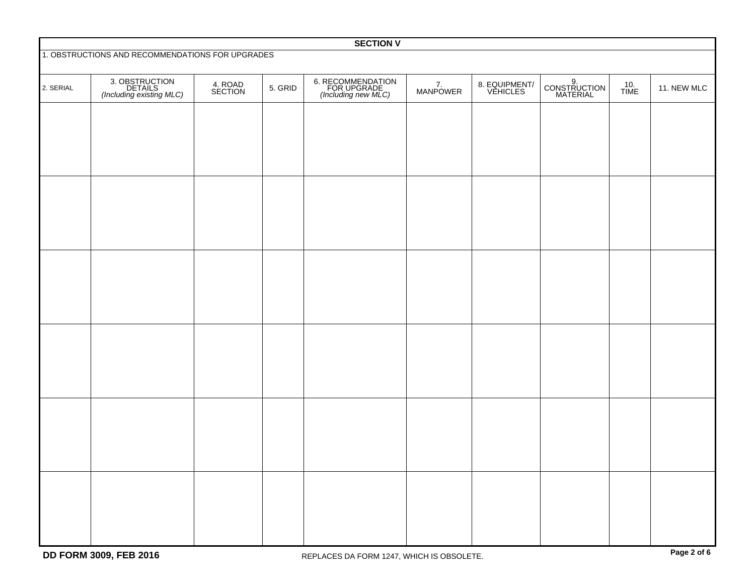| <b>SECTION V</b>                                 |                                                       |                    |         |                                                         |                |                           |                                |             |             |
|--------------------------------------------------|-------------------------------------------------------|--------------------|---------|---------------------------------------------------------|----------------|---------------------------|--------------------------------|-------------|-------------|
| 1. OBSTRUCTIONS AND RECOMMENDATIONS FOR UPGRADES |                                                       |                    |         |                                                         |                |                           |                                |             |             |
| 2. SERIAL                                        | 3. OBSTRUCTION<br>DETAILS<br>(Including existing MLC) | 4. ROAD<br>SECTION | 5. GRID | 6. RECOMMENDATION<br>FOR UPGRADE<br>(Including new MLC) | 7.<br>MANPOWER | 8. EQUIPMENT/<br>VEHICLES | 9.<br>CONSTRUCTION<br>MATERIAL | 10.<br>TIME | 11. NEW MLC |
|                                                  |                                                       |                    |         |                                                         |                |                           |                                |             |             |
|                                                  |                                                       |                    |         |                                                         |                |                           |                                |             |             |
|                                                  |                                                       |                    |         |                                                         |                |                           |                                |             |             |
|                                                  |                                                       |                    |         |                                                         |                |                           |                                |             |             |
|                                                  |                                                       |                    |         |                                                         |                |                           |                                |             |             |
|                                                  |                                                       |                    |         |                                                         |                |                           |                                |             |             |
|                                                  |                                                       |                    |         |                                                         |                |                           |                                |             |             |
|                                                  |                                                       |                    |         |                                                         |                |                           |                                |             |             |
|                                                  |                                                       |                    |         |                                                         |                |                           |                                |             |             |
|                                                  |                                                       |                    |         |                                                         |                |                           |                                |             |             |
|                                                  |                                                       |                    |         |                                                         |                |                           |                                |             |             |
|                                                  |                                                       |                    |         |                                                         |                |                           |                                |             |             |
|                                                  |                                                       |                    |         |                                                         |                |                           |                                |             |             |
|                                                  |                                                       |                    |         |                                                         |                |                           |                                |             |             |
|                                                  |                                                       |                    |         |                                                         |                |                           |                                |             |             |
|                                                  |                                                       |                    |         |                                                         |                |                           |                                |             |             |
|                                                  |                                                       |                    |         |                                                         |                |                           |                                |             |             |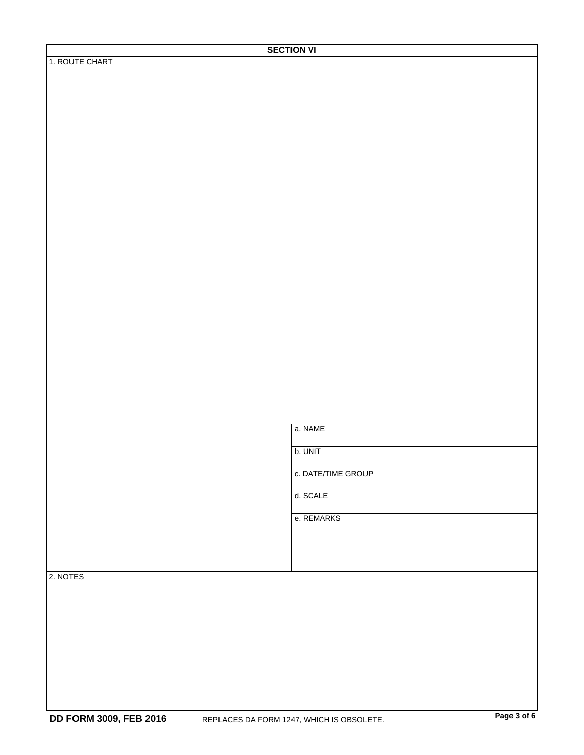|          | a. NAME            |
|----------|--------------------|
|          | b. UNIT            |
|          | c. DATE/TIME GROUP |
|          | d. SCALE           |
|          | e. REMARKS         |
|          |                    |
| 2. NOTES |                    |
|          |                    |
|          |                    |
|          |                    |
|          |                    |
|          |                    |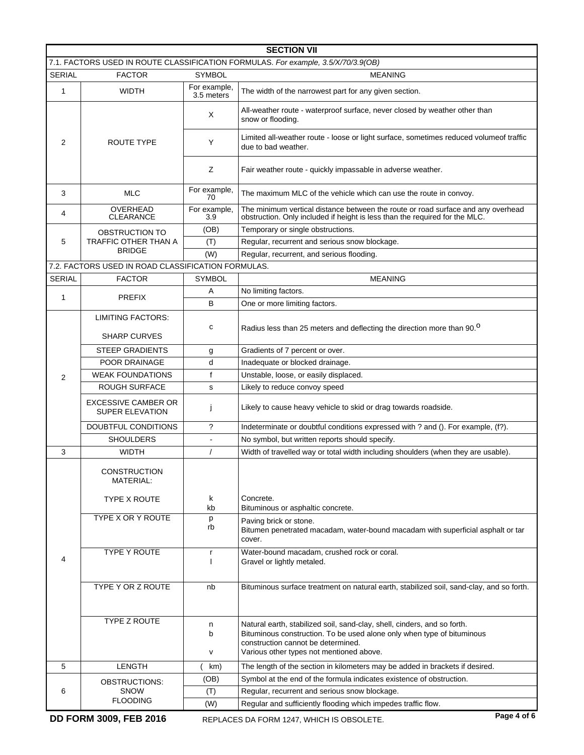| <b>SECTION VII</b>                                                                |                                                                |                                                                                               |                                                                                                                                                                                                                                      |  |  |  |  |
|-----------------------------------------------------------------------------------|----------------------------------------------------------------|-----------------------------------------------------------------------------------------------|--------------------------------------------------------------------------------------------------------------------------------------------------------------------------------------------------------------------------------------|--|--|--|--|
| 7.1. FACTORS USED IN ROUTE CLASSIFICATION FORMULAS. For example, 3.5/X/70/3.9(OB) |                                                                |                                                                                               |                                                                                                                                                                                                                                      |  |  |  |  |
| <b>SERIAL</b>                                                                     | <b>FACTOR</b><br><b>SYMBOL</b>                                 |                                                                                               | <b>MEANING</b>                                                                                                                                                                                                                       |  |  |  |  |
| 1                                                                                 | For example,<br><b>WIDTH</b><br>3.5 meters                     |                                                                                               | The width of the narrowest part for any given section.                                                                                                                                                                               |  |  |  |  |
|                                                                                   |                                                                | X                                                                                             | All-weather route - waterproof surface, never closed by weather other than<br>snow or flooding.                                                                                                                                      |  |  |  |  |
| 2                                                                                 | ROUTE TYPE                                                     | Y                                                                                             | Limited all-weather route - loose or light surface, sometimes reduced volumeof traffic<br>due to bad weather.                                                                                                                        |  |  |  |  |
|                                                                                   |                                                                | Z                                                                                             | Fair weather route - quickly impassable in adverse weather.                                                                                                                                                                          |  |  |  |  |
| 3                                                                                 | <b>MLC</b>                                                     | For example,<br>70                                                                            | The maximum MLC of the vehicle which can use the route in convoy.                                                                                                                                                                    |  |  |  |  |
| 4                                                                                 | OVERHEAD<br><b>CLEARANCE</b>                                   | For example,<br>3.9                                                                           | The minimum vertical distance between the route or road surface and any overhead<br>obstruction. Only included if height is less than the required for the MLC.                                                                      |  |  |  |  |
|                                                                                   | OBSTRUCTION TO                                                 | (OB)                                                                                          | Temporary or single obstructions.                                                                                                                                                                                                    |  |  |  |  |
| 5                                                                                 | <b>TRAFFIC OTHER THAN A</b>                                    | (T)                                                                                           | Regular, recurrent and serious snow blockage.                                                                                                                                                                                        |  |  |  |  |
|                                                                                   | <b>BRIDGE</b>                                                  | (W)                                                                                           | Regular, recurrent, and serious flooding.                                                                                                                                                                                            |  |  |  |  |
|                                                                                   | 7.2. FACTORS USED IN ROAD CLASSIFICATION FORMULAS.             |                                                                                               |                                                                                                                                                                                                                                      |  |  |  |  |
| <b>SERIAL</b>                                                                     | <b>FACTOR</b>                                                  | <b>SYMBOL</b>                                                                                 | <b>MEANING</b>                                                                                                                                                                                                                       |  |  |  |  |
| $\mathbf{1}$                                                                      | <b>PREFIX</b>                                                  | Α                                                                                             | No limiting factors.                                                                                                                                                                                                                 |  |  |  |  |
|                                                                                   |                                                                | B                                                                                             | One or more limiting factors.                                                                                                                                                                                                        |  |  |  |  |
|                                                                                   | <b>LIMITING FACTORS:</b>                                       |                                                                                               |                                                                                                                                                                                                                                      |  |  |  |  |
|                                                                                   | <b>SHARP CURVES</b>                                            | с                                                                                             | Radius less than 25 meters and deflecting the direction more than 90. <sup>0</sup>                                                                                                                                                   |  |  |  |  |
|                                                                                   | <b>STEEP GRADIENTS</b>                                         | g                                                                                             | Gradients of 7 percent or over.                                                                                                                                                                                                      |  |  |  |  |
|                                                                                   | <b>POOR DRAINAGE</b>                                           | d                                                                                             | Inadequate or blocked drainage.                                                                                                                                                                                                      |  |  |  |  |
| 2                                                                                 | <b>WEAK FOUNDATIONS</b>                                        | $\mathsf{f}$                                                                                  | Unstable, loose, or easily displaced.                                                                                                                                                                                                |  |  |  |  |
|                                                                                   | <b>ROUGH SURFACE</b>                                           | s                                                                                             | Likely to reduce convoy speed                                                                                                                                                                                                        |  |  |  |  |
|                                                                                   | <b>EXCESSIVE CAMBER OR</b><br><b>SUPER ELEVATION</b>           | Ť                                                                                             | Likely to cause heavy vehicle to skid or drag towards roadside.                                                                                                                                                                      |  |  |  |  |
|                                                                                   | DOUBTFUL CONDITIONS                                            | ?                                                                                             | Indeterminate or doubtful conditions expressed with ? and (). For example, (f?).                                                                                                                                                     |  |  |  |  |
|                                                                                   | <b>SHOULDERS</b>                                               |                                                                                               | No symbol, but written reports should specify.                                                                                                                                                                                       |  |  |  |  |
| 3                                                                                 | <b>WIDTH</b>                                                   | Width of travelled way or total width including shoulders (when they are usable).<br>$\prime$ |                                                                                                                                                                                                                                      |  |  |  |  |
|                                                                                   | <b>CONSTRUCTION</b><br><b>MATERIAL:</b><br><b>TYPE X ROUTE</b> | k                                                                                             | Concrete.                                                                                                                                                                                                                            |  |  |  |  |
|                                                                                   | TYPE X OR Y ROUTE                                              | kb                                                                                            | Bituminous or asphaltic concrete.                                                                                                                                                                                                    |  |  |  |  |
|                                                                                   |                                                                | р<br>rb                                                                                       | Paving brick or stone.<br>Bitumen penetrated macadam, water-bound macadam with superficial asphalt or tar<br>cover.                                                                                                                  |  |  |  |  |
| 4                                                                                 | TYPE Y ROUTE                                                   | r                                                                                             | Water-bound macadam, crushed rock or coral.<br>Gravel or lightly metaled.                                                                                                                                                            |  |  |  |  |
|                                                                                   | TYPE Y OR Z ROUTE                                              | nb                                                                                            | Bituminous surface treatment on natural earth, stabilized soil, sand-clay, and so forth.                                                                                                                                             |  |  |  |  |
|                                                                                   | TYPE Z ROUTE                                                   | n<br>b<br>V                                                                                   | Natural earth, stabilized soil, sand-clay, shell, cinders, and so forth.<br>Bituminous construction. To be used alone only when type of bituminous<br>construction cannot be determined.<br>Various other types not mentioned above. |  |  |  |  |
| 5                                                                                 | LENGTH                                                         | km)                                                                                           | The length of the section in kilometers may be added in brackets if desired.                                                                                                                                                         |  |  |  |  |
|                                                                                   | OBSTRUCTIONS:                                                  | (OB)                                                                                          | Symbol at the end of the formula indicates existence of obstruction.                                                                                                                                                                 |  |  |  |  |
| 6                                                                                 | <b>SNOW</b>                                                    | (T)                                                                                           | Regular, recurrent and serious snow blockage.                                                                                                                                                                                        |  |  |  |  |
|                                                                                   | <b>FLOODING</b>                                                | (W)                                                                                           | Regular and sufficiently flooding which impedes traffic flow.                                                                                                                                                                        |  |  |  |  |
|                                                                                   | DD FORM 3009, FEB 2016                                         |                                                                                               | Page 4 of 6<br>REPLACES DA FORM 1247, WHICH IS OBSOLETE.                                                                                                                                                                             |  |  |  |  |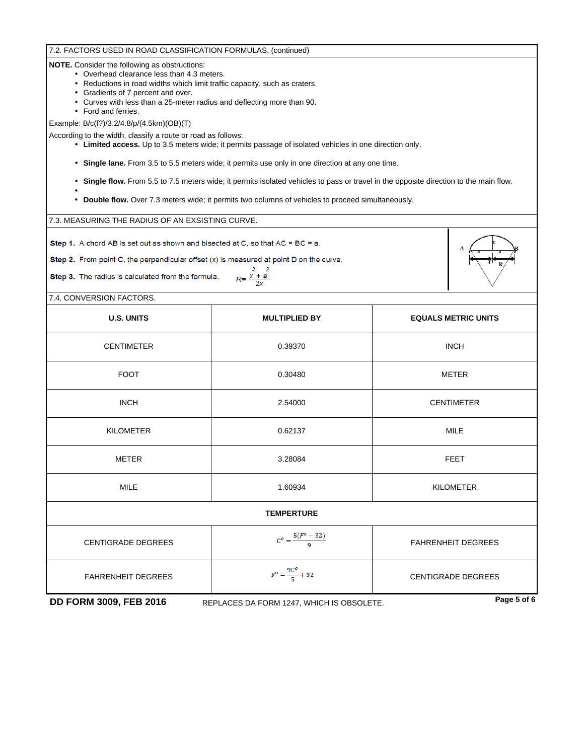## 7.2. FACTORS USED IN ROAD CLASSIFICATION FORMULAS. (continued)

**NOTE.** Consider the following as obstructions:

- Overhead clearance less than 4.3 meters.
- Reductions in road widths which limit traffic capacity, such as craters.
- Gradients of 7 percent and over.
- Curves with less than a 25-meter radius and deflecting more than 90.
- Ford and ferries.
- Example: B/c(f?)/3.2/4.8/p/(4.5km)(OB)(T)

According to the width, classify a route or road as follows:

- **Limited access.** Up to 3.5 meters wide; it permits passage of isolated vehicles in one direction only.
- **Single lane.** From 3.5 to 5.5 meters wide; it permits use only in one direction at any one time.
- Single flow. From 5.5 to 7.5 meters wide; it permits isolated vehicles to pass or travel in the opposite direction to the main flow.
- • • **Double flow.** Over 7.3 meters wide; it permits two columns of vehicles to proceed simultaneously.

7.3. MEASURING THE RADIUS OF AN EXSISTING CURVE.

Step 1. A chord AB is set out as shown and bisected at C, so that AC = BC = a.

Step 2. From point C, the perpendicular offset  $(x)$  is measured at point D on the curve.

Step 3. The radius is calculated from the formula.

 $2 \quad 2$  $R = \frac{x + a}{2x}$ 

7.4. CONVERSION FACTORS.

| <b>U.S. UNITS</b>         | <b>MULTIPLIED BY</b>          | <b>EQUALS METRIC UNITS</b>                     |  |  |  |  |  |
|---------------------------|-------------------------------|------------------------------------------------|--|--|--|--|--|
| <b>CENTIMETER</b>         | 0.39370                       | <b>INCH</b>                                    |  |  |  |  |  |
| <b>FOOT</b>               | 0.30480                       | <b>METER</b>                                   |  |  |  |  |  |
| <b>INCH</b>               | 2.54000                       | <b>CENTIMETER</b>                              |  |  |  |  |  |
| <b>KILOMETER</b>          | 0.62137                       | <b>MILE</b>                                    |  |  |  |  |  |
| <b>METER</b>              | 3.28084                       | <b>FEET</b>                                    |  |  |  |  |  |
| <b>MILE</b>               | 1.60934                       | <b>KILOMETER</b>                               |  |  |  |  |  |
| <b>TEMPERTURE</b>         |                               |                                                |  |  |  |  |  |
| <b>CENTIGRADE DEGREES</b> | $C^o = \frac{5(F^o - 32)}{9}$ | <b>FAHRENHEIT DEGREES</b>                      |  |  |  |  |  |
| <b>FAHRENHEIT DEGREES</b> | $F^o = \frac{9C^o}{5} + 32$   | <b>CENTIGRADE DEGREES</b><br>$P = \frac{1}{2}$ |  |  |  |  |  |

**DD FORM 3009, FEB 2016 REPLACES DA FORM 1247, WHICH IS OBSOLETE. Page 5 of 6**